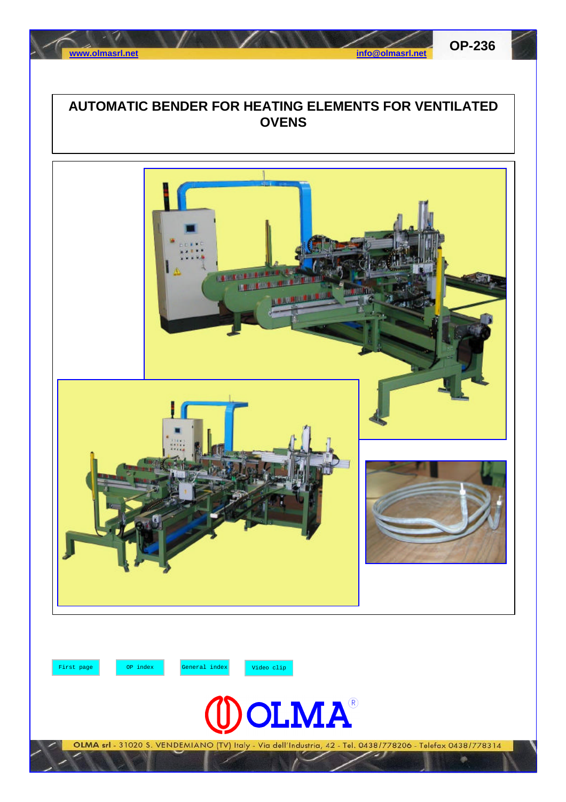